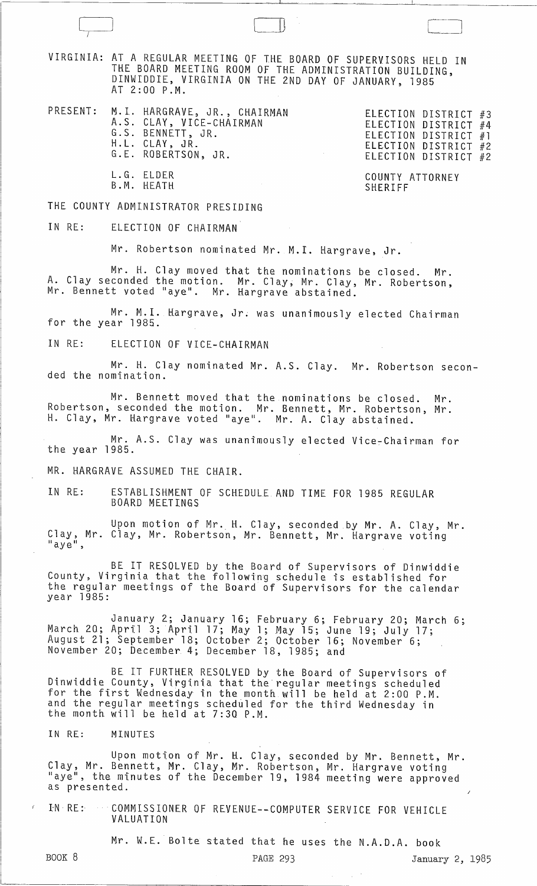VIRGINIA: AT A REGULAR MEETING OF THE BOARD OF SUPERVISORS HELD IN THE BOARD MEETING ROOM OF THE ADMINISTRATION BUILDING, DINWIDDIE, VIRGINIA ON THE 2ND DAY OF JANUARY, 1985 AT 2:00 P.M.

- PRESENT: M. I. HARGRAVE, JR., CHAIRMAN<br>A.S. CLAY, VICE-CHAIRMAN<br>G.S. BENNETT, JR.<br>H.L. CLAY, JR.<br>G.E. ROBERTSON, JR.
	- B.M. HEATH

 $\bigcap$ 

L. G. ELDER COUNTY ATTORNEY ELECTION DISTRICT #2 ELECTION DISTRICT #2

ELECTION DISTRICT #3

#4 #1

## THE COUNTY ADMINISTRATOR PRESIDING

## IN RE: ELECTION OF CHAIRMAN

Mr. Robertson nominated Mr. M.I. Hargrave, Jr.

Mr. H. Clay moved that the nominations be closed. Mr. A. Clay seconded the motion. Mr. Clay, Mr. Clay, Mr. Robertson, Mr. Bennett voted "aye". Mr. Hargrave abstained.

Mr. M.I. Hargrave, Jr. was unanimously elected Chairman for the year 1985.

IN RE: ELECTION OF VICE-CHAIRMAN

Mr. H. Clay nominated Mr. A.S. Clay. Mr. Robertson seconded the nomination.

Mr. Bennett moved that the nominations be closed. Mr. Robertson, seconded the motion. Mr. Bennett, Mr. Robertson, Mr. H. Clay, Mr. Hargrave voted "aye". Mr. A. Clay abstained.

Mr. A.S. Clay was unanimously elected Vice~Chairman for the year 1985.

MR. HARGRAVE ASSUMED THE CHAIR.

IN RE: ESTABLISHMENT OF SCHEDULE AND TIME FOR 1985 REGULAR BOARD MEETINGS

Upon motion of Mr. H. Clay, seconded by Mr. A. Clay, Mr. Clay, Mr. Clay, Mr. Robertson, Mr. Bennett, Mr. Hargrave voting "aye",

BE IT RESOLVED by the Board of Supervisors of Dinwiddie County, Virginia that the following schedule is established for the regular meetings of the Board of Supervisors for the calendar year 1985:

January 2; January 16; February 6; February 20; March 6; March 20; April 3; April 17; May 1; May 15; June 19; July 17; August 21; September 18; October 2; October 16; November 6; November 20; December 4; December 18, 1985; and

BE IT FURTHER RESOLVED by the Board of Supervisors of Dinwiddie County, Virginia that the regular meetings scheduled for the first Wednesday in the month will be held at 2:00 P.M. and the regular meetings scheduled for the third Wednesday in the month will be held at 7:30 P.M.

IN RE: MINUTES

Upon motion of Mr. H. Clay, seconded by Mr. Bennett, Mr. Clay, Mr. Bennett, Mr. Clay, Mr. Robertson, Mr. Hargrave voting "aye", the minutes of the December 19, 1984 meeting were approved as presented.

IN RE: COMMISSIONER OF REVENUE--COMPUTER SERVICE FOR VEHICLE VALUATION

Mr. W.E. Bolte stated that he uses the N.A.D.A. book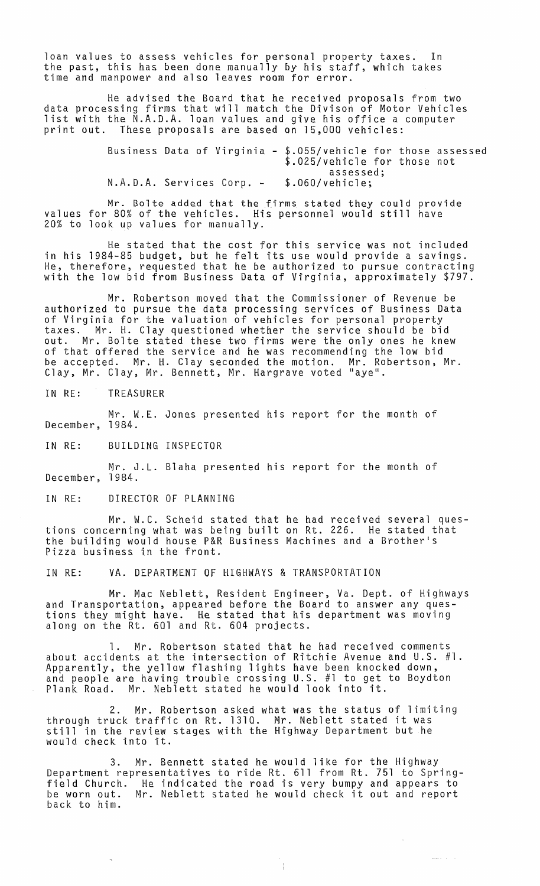loan values to assess vehicles for personal property taxes. In the past, this has been done manually by his staff, which takes time and manpower and also leaves room for error.

He advised the Board that he received proposals from two data processing firms that will match the Divison of Motor Vehicles list with the N.A.D.A. loan values and give his office a computer print out. These proposals are based on 15,000 vehicles:

| Business Data of Virginia - \$.055/vehicle for those assessed |  |  |  | \$.025/vehicle for those not |  |  |
|---------------------------------------------------------------|--|--|--|------------------------------|--|--|
| N.A.D.A. Services Corp. -                                     |  |  |  | assessed;<br>\$.060/vehicle: |  |  |

Mr. Bolte added that the firms stated they could provide values for 80% of the vehicles. His personnel would still have 20% to look up values for manually.

He stated that the cost for this service was not included in his 1984-85 budget, but he felt its use would provide a savings. He, therefore, requested that he be authorized to pursue contracting with the low bid from Business Data of Virginia, approximately \$797.

Mr. Robertson moved that the Commissioner of Revenue be authorized to pursue the data processing services of Business Data of Virginia for the valuation of vehicles for personal property taxes. Mr. H. Clay questioned whether the service should be bid out. Mr. Bolte stated these two firms were the only ones he knew of that offered the service and he was recommending the low bid be accepted. Mr. H. Clay seconded the motion. Mr. Robertson, Mr. Clay, Mr. Clay, Mr. Bennett, Mr. Hargrave voted "aye".

IN RE: TREASURER

Mr. W.E. Jones presented his report for the month of December, 1984.

IN RE: BUILDING INSPECTOR

Mr. J.L. Blaha presented his report for the month of December, 1984.

IN RE: DIRECTOR OF PLANNING

Mr. W.C. Scheid stated that he had received several questions concerning what was being built on Rt. 226. He stated that the building would house P&R Business Machines and a Brother's Pizza business in the front.

IN RE: VA. DEPARTMENT OF HIGHWAYS & TRANSPORTATION

Mr. Mac Neblett, Resident Engineer, Va. Dept. of Highways and Transportation, appeared before the Board to answer any questions they might have. He stated that his department was moving along on the Rt. 601 and Rt. 604 projects.

Mr. Robertson stated that he had received comments about accidents at the intersection of Ritchie Avenue and U.S. #1. Apparently, the yellow flashing lights have been knocked down, and people are having trouble crossing U.S. #1 to get to Boydton Plank Road. Mr. Neblett stated he would look into it.

2. Mr. Robertson asked what was the status of limiting through truck traffic on Rt. 1310. Mr. Neblett stated it was still in the review stages with the Highway Department but he would check into it.

3. Mr. Bennett stated he would like for the Highway Department representatives to ride Rt. 611 from Rt. 751 to Springfield Church. He indicated the road is very bumpy and appears to rierd church. The Indicated the road is very bumpy and appears to<br>be worn out. Mr. Neblett stated he would check it out and report<br>back to him.

 $\frac{1}{2}$ 

 $\sim$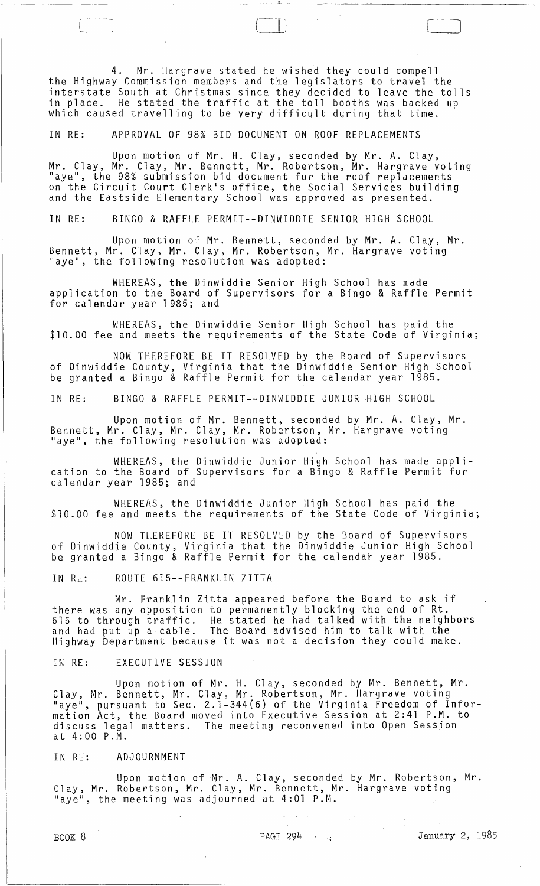4. Mr. Hargrave stated he wished they could compell the Highway Commission members and the legislators to travel the interstate South at Christmas since they decided to leave the tolls in place. He stated the traffic at the toll booths was backed up which caused travelling to be very difficult during that time.

 $\Box$  $\Box$ 

IN RE: APPROVAL OF 98% BID DOCUMENT ON ROOF REPLACEMENTS

Upon motion of Mr. H. Clay, seconded by Mr. A. Clay, Mr. Clay, Mr. Clay, Mr. Bennett, Mr. Robertson, Mr. Hargrave voting "aye", the 98% submission bid document for the roof replacements on the Circuit Court Clerk's office, the Social Services building and the Eastside Elementary School was approved as presented.

IN RE: BINGO & RAFFLE PERMIT--DINWIDDIE SENIOR HIGH SCHOOL

Upon motion of Mr. Bennett, seconded by Mr. A. Clay, Mr. Bennett, Mr. Clay, Mr. Clay, Mr. Robertson, Mr. Hargrave voting "aye", the following resolution was adopted:

WHEREAS, the Dinwiddie Senior High School has made application to the Board of Supervisors for a Bingo & Raffle Permit for calendar year 1985; and

WHEREAS, the Dinwiddie Senior High School has paid the \$10.00 fee and meets the requirements of the State Code of Virginia;

NOW THEREFORE BE IT RESOLVED by the Board of Supervisors of Dinwiddie County, Virginia that the Dinwiddie Senior High School be granted a Bingo & Raffle Permit for the calendar year 1985.

IN RE: BINGO & RAFFLE PERMIT--DINWIDDIE JUNIOR HIGH SCHOOL

Upon motion of Mr. Bennett, seconded by Mr. A. Clay, Mr. Bennett, Mr. Clay, Mr. Clay, Mr. Robertson, Mr. Hargrave voting<br>"aye", the following resolution was adopted:

WHEREAS, the Dinwiddie Junior High School has made application to the Board of Supervisors for a Bingo & Raffle Permit for calendar year 1985; and

WHEREAS, the Dinwiddie Junior High School has paid the \$10.00 fee and meets the requirements of the State Code of Virginia;

NOW THEREFORE BE IT RESOLVED by the Board of Supervisors of Dinwiddie County, Virginia that the Dinwiddie Junior High School be granted a Bingo & Raffle Permit for the calendar year 1985.

IN RE: ROUTE 615--FRANKLIN ZITTA

Mr. Franklin Zitta appeared before the Board to ask if there was any opposition to permanently blocking the end of Rt. 615 to through traffic. He stated he had talked with the neighbors and had put up a cable. The Board advised him to talk with the Highway Department because it was not a decision they could make.

IN RE: EXECUTIVE SESSION

Upon motion of Mr. H. Clay, seconded by Mr. Bennett, Mr. Clay, Mr. Bennett, Mr. Clay, Mr. Robertson, Mr. Hargrave voting "aye", pursuant to Sec. 2.1-344(6) of the Virginia Freedom of Information Act, the Board moved into Executive Session at 2:41 P.M. to discuss legal matters. The meeting reconvened into Open Session at 4:00 P.M.

IN RE: ADJOURNMENT

Upon motion of Mr. A. Clay, seconded by Mr. Robertson, Mr. Clay, Mr. Robertson, Mr. Clay, Mr. Bennett, Mr. Hargrave voting " $aye^{\pi}$ , the meeting was adjourned at 4:01 P.M.

 $\sigma_{\rm{c}}$  :